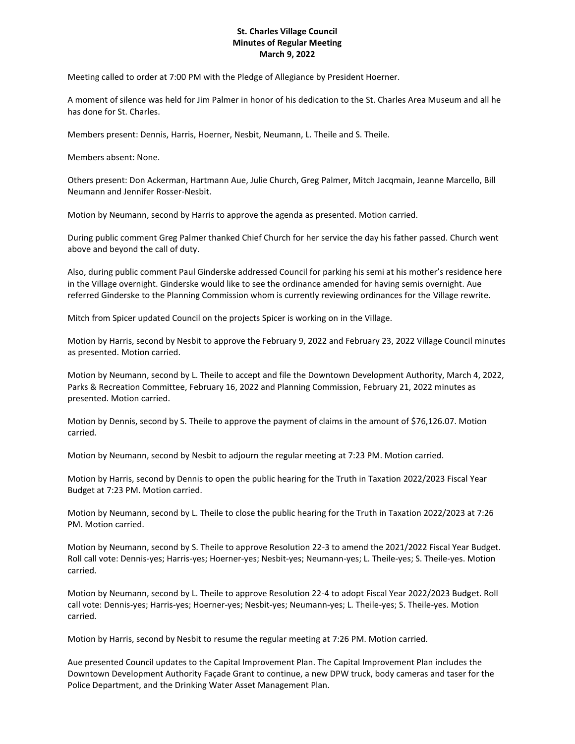## **St. Charles Village Council Minutes of Regular Meeting March 9, 2022**

Meeting called to order at 7:00 PM with the Pledge of Allegiance by President Hoerner.

A moment of silence was held for Jim Palmer in honor of his dedication to the St. Charles Area Museum and all he has done for St. Charles.

Members present: Dennis, Harris, Hoerner, Nesbit, Neumann, L. Theile and S. Theile.

Members absent: None.

Others present: Don Ackerman, Hartmann Aue, Julie Church, Greg Palmer, Mitch Jacqmain, Jeanne Marcello, Bill Neumann and Jennifer Rosser-Nesbit.

Motion by Neumann, second by Harris to approve the agenda as presented. Motion carried.

During public comment Greg Palmer thanked Chief Church for her service the day his father passed. Church went above and beyond the call of duty.

Also, during public comment Paul Ginderske addressed Council for parking his semi at his mother's residence here in the Village overnight. Ginderske would like to see the ordinance amended for having semis overnight. Aue referred Ginderske to the Planning Commission whom is currently reviewing ordinances for the Village rewrite.

Mitch from Spicer updated Council on the projects Spicer is working on in the Village.

Motion by Harris, second by Nesbit to approve the February 9, 2022 and February 23, 2022 Village Council minutes as presented. Motion carried.

Motion by Neumann, second by L. Theile to accept and file the Downtown Development Authority, March 4, 2022, Parks & Recreation Committee, February 16, 2022 and Planning Commission, February 21, 2022 minutes as presented. Motion carried.

Motion by Dennis, second by S. Theile to approve the payment of claims in the amount of \$76,126.07. Motion carried.

Motion by Neumann, second by Nesbit to adjourn the regular meeting at 7:23 PM. Motion carried.

Motion by Harris, second by Dennis to open the public hearing for the Truth in Taxation 2022/2023 Fiscal Year Budget at 7:23 PM. Motion carried.

Motion by Neumann, second by L. Theile to close the public hearing for the Truth in Taxation 2022/2023 at 7:26 PM. Motion carried.

Motion by Neumann, second by S. Theile to approve Resolution 22-3 to amend the 2021/2022 Fiscal Year Budget. Roll call vote: Dennis-yes; Harris-yes; Hoerner-yes; Nesbit-yes; Neumann-yes; L. Theile-yes; S. Theile-yes. Motion carried.

Motion by Neumann, second by L. Theile to approve Resolution 22-4 to adopt Fiscal Year 2022/2023 Budget. Roll call vote: Dennis-yes; Harris-yes; Hoerner-yes; Nesbit-yes; Neumann-yes; L. Theile-yes; S. Theile-yes. Motion carried.

Motion by Harris, second by Nesbit to resume the regular meeting at 7:26 PM. Motion carried.

Aue presented Council updates to the Capital Improvement Plan. The Capital Improvement Plan includes the Downtown Development Authority Façade Grant to continue, a new DPW truck, body cameras and taser for the Police Department, and the Drinking Water Asset Management Plan.